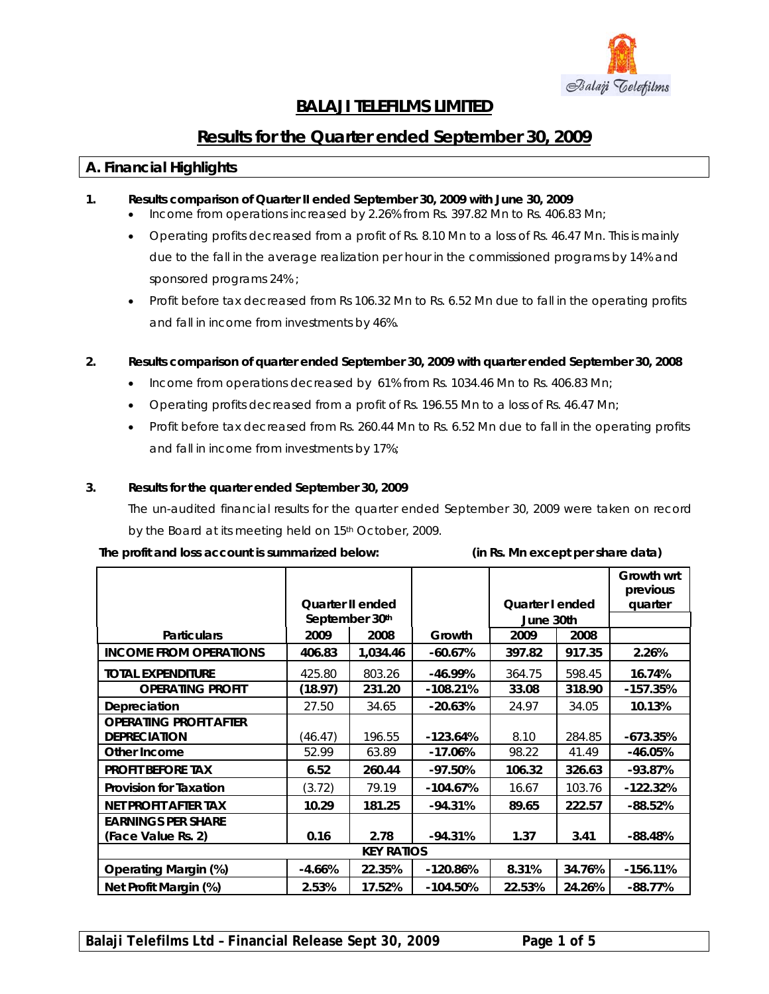

# **BALAJI TELEFILMS LIMITED**

# **Results for the Quarter ended September 30, 2009**

### **A. Financial Highlights**

- **1. Results comparison of Quarter II ended September 30, 2009 with June 30, 2009** 
	- Income from operations increased by 2.26% from Rs. 397.82 Mn to Rs. 406.83 Mn;
	- Operating profits decreased from a profit of Rs. 8.10 Mn to a loss of Rs. 46.47 Mn. This is mainly due to the fall in the average realization per hour in the commissioned programs by 14% and sponsored programs 24% ;
	- Profit before tax decreased from Rs 106.32 Mn to Rs. 6.52 Mn due to fall in the operating profits and fall in income from investments by 46%.

#### **2. Results comparison of quarter ended September 30, 2009 with quarter ended September 30, 2008**

- Income from operations decreased by 61% from Rs. 1034.46 Mn to Rs. 406.83 Mn;
- Operating profits decreased from a profit of Rs. 196.55 Mn to a loss of Rs. 46.47 Mn;
- Profit before tax decreased from Rs. 260.44 Mn to Rs. 6.52 Mn due to fall in the operating profits and fall in income from investments by 17%;

#### **3. Results for the quarter ended September 30, 2009**

The un-audited financial results for the quarter ended September 30, 2009 were taken on record by the Board at its meeting held on 15<sup>th</sup> October, 2009.

#### **The profit and loss account is summarized below: (in Rs. Mn except per share data)**

|                               |                         |          |            |                        |        | Growth wrt<br>previous |  |
|-------------------------------|-------------------------|----------|------------|------------------------|--------|------------------------|--|
|                               | <b>Quarter II ended</b> |          |            | <b>Quarter I ended</b> |        | quarter                |  |
|                               | September 30th          |          |            | June 30th              |        |                        |  |
| <b>Particulars</b>            | 2009                    | 2008     | Growth     | 2009                   | 2008   |                        |  |
| <b>INCOME FROM OPERATIONS</b> | 406.83                  | 1,034.46 | $-60.67%$  | 397.82                 | 917.35 | 2.26%                  |  |
| <b>TOTAL EXPENDITURE</b>      | 425.80                  | 803.26   | $-46.99%$  | 364.75                 | 598.45 | 16.74%                 |  |
| <b>OPERATING PROFIT</b>       | (18.97)                 | 231.20   | $-108.21%$ | 33.08                  | 318.90 | $-157.35%$             |  |
| Depreciation                  | 27.50                   | 34.65    | $-20.63%$  | 24.97                  | 34.05  | 10.13%                 |  |
| <b>OPERATING PROFIT AFTER</b> |                         |          |            |                        |        |                        |  |
| <b>DEPRECIATION</b>           | (46.47)                 | 196.55   | $-123.64%$ | 8.10                   | 284.85 | $-673.35%$             |  |
| Other Income                  | 52.99                   | 63.89    | $-17.06%$  | 98.22                  | 41.49  | $-46.05%$              |  |
| <b>PROFIT BEFORE TAX</b>      | 6.52                    | 260.44   | $-97.50%$  | 106.32                 | 326.63 | $-93.87%$              |  |
| <b>Provision for Taxation</b> | (3.72)                  | 79.19    | $-104.67%$ | 16.67                  | 103.76 | $-122.32%$             |  |
| NET PROFIT AFTER TAX          | 10.29                   | 181.25   | $-94.31%$  | 89.65                  | 222.57 | $-88.52%$              |  |
| <b>EARNINGS PER SHARE</b>     |                         |          |            |                        |        |                        |  |
| (Face Value Rs. 2)            | 0.16                    | 2.78     | $-94.31%$  | 1.37                   | 3.41   | $-88.48%$              |  |
| <b>KEY RATIOS</b>             |                         |          |            |                        |        |                        |  |
| <b>Operating Margin (%)</b>   | $-4.66%$                | 22.35%   | $-120.86%$ | 8.31%                  | 34.76% | $-156.11%$             |  |
| Net Profit Margin (%)         | 2.53%                   | 17.52%   | -104.50%   | 22.53%                 | 24.26% | $-88.77%$              |  |

**Balaji Telefilms Ltd – Financial Release Sept 30, 2009 Page 1 of 5**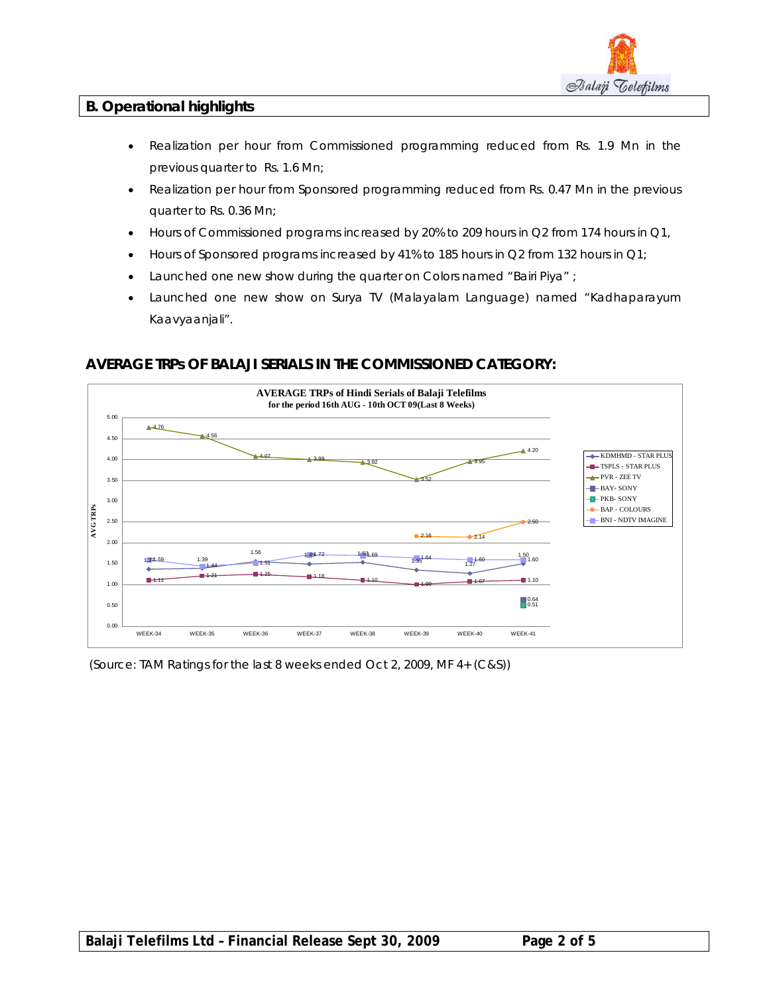

## **B. Operational highlights**

- Realization per hour from Commissioned programming reduced from Rs. 1.9 Mn in the previous quarter to Rs. 1.6 Mn;
- Realization per hour from Sponsored programming reduced from Rs. 0.47 Mn in the previous quarter to Rs. 0.36 Mn;
- Hours of Commissioned programs increased by 20% to 209 hours in Q2 from 174 hours in Q1,
- Hours of Sponsored programs increased by 41% to 185 hours in Q2 from 132 hours in Q1;
- Launched one new show during the quarter on Colors named "Bairi Piya" ;
- Launched one new show on Surya TV (Malayalam Language) named "Kadhaparayum Kaavyaanjali".



## **AVERAGE TRPs OF BALAJI SERIALS IN THE COMMISSIONED CATEGORY:**

(Source: TAM Ratings for the last 8 weeks ended Oct 2, 2009, MF 4+ (C&S))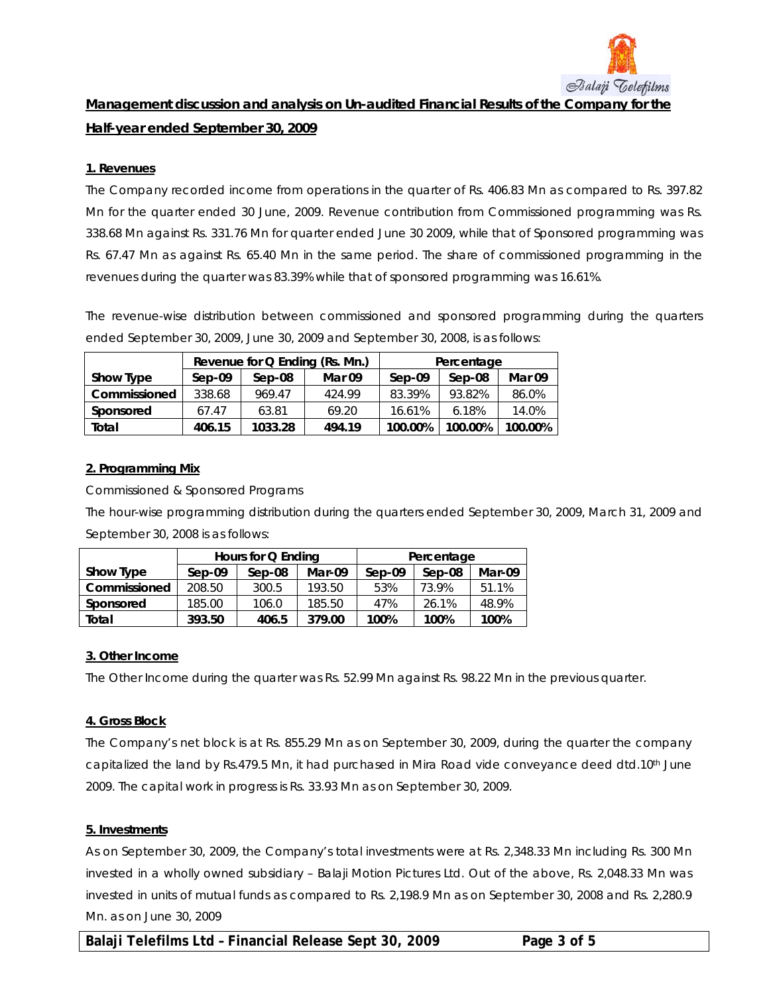

**Management discussion and analysis on Un-audited Financial Results of the Company for the Half-year ended September 30, 2009**

#### **1. Revenues**

The Company recorded income from operations in the quarter of Rs. 406.83 Mn as compared to Rs. 397.82 Mn for the quarter ended 30 June, 2009. Revenue contribution from Commissioned programming was Rs. 338.68 Mn against Rs. 331.76 Mn for quarter ended June 30 2009, while that of Sponsored programming was Rs. 67.47 Mn as against Rs. 65.40 Mn in the same period. The share of commissioned programming in the revenues during the quarter was 83.39% while that of sponsored programming was 16.61%.

The revenue-wise distribution between commissioned and sponsored programming during the quarters ended September 30, 2009, June 30, 2009 and September 30, 2008, is as follows:

|              |          |          | Revenue for Q Ending (Rs. Mn.) | Percentage |         |         |  |
|--------------|----------|----------|--------------------------------|------------|---------|---------|--|
| Show Type    | $Sep-09$ | $Sen-08$ | Mar 09                         | Sep-09     | Sep-08  | Mar 09  |  |
| Commissioned | 338.68   | 969.47   | 424.99                         | 83.39%     | 93.82%  | 86.0%   |  |
| Sponsored    | 67.47    | 63.81    | 69.20                          | 16.61%     | 6.18%   | 14.0%   |  |
| Total        | 406.15   | 1033.28  | 494.19                         | 100.00%    | 100.00% | 100.00% |  |

#### **2. Programming Mix**

Commissioned & Sponsored Programs

The hour-wise programming distribution during the quarters ended September 30, 2009, March 31, 2009 and September 30, 2008 is as follows:

|              | Hours for Q Ending |          |        | Percentage |          |        |  |
|--------------|--------------------|----------|--------|------------|----------|--------|--|
| Show Type    | $Sep-09$           | $Sen-08$ | Mar-09 | $Sep-09$   | $Sep-08$ | Mar-09 |  |
| Commissioned | 208.50             | 300.5    | 193.50 | 53%        | 73.9%    | 51.1%  |  |
| Sponsored    | 185.00             | 106.0    | 185.50 | 47%        | 26.1%    | 48.9%  |  |
| Total        | 393.50             | 406.5    | 379.00 | 100%       | 100%     | 100%   |  |

#### **3. Other Income**

The Other Income during the quarter was Rs. 52.99 Mn against Rs. 98.22 Mn in the previous quarter.

#### **4. Gross Block**

The Company's net block is at Rs. 855.29 Mn as on September 30, 2009, during the quarter the company capitalized the land by Rs.479.5 Mn, it had purchased in Mira Road vide conveyance deed dtd.10<sup>th</sup> June 2009. The capital work in progress is Rs. 33.93 Mn as on September 30, 2009.

#### **5. Investments**

As on September 30, 2009, the Company's total investments were at Rs. 2,348.33 Mn including Rs. 300 Mn invested in a wholly owned subsidiary – Balaji Motion Pictures Ltd. Out of the above, Rs. 2,048.33 Mn was invested in units of mutual funds as compared to Rs. 2,198.9 Mn as on September 30, 2008 and Rs. 2,280.9 Mn. as on June 30, 2009

**Balaji Telefilms Ltd – Financial Release Sept 30, 2009 Page 3 of 5**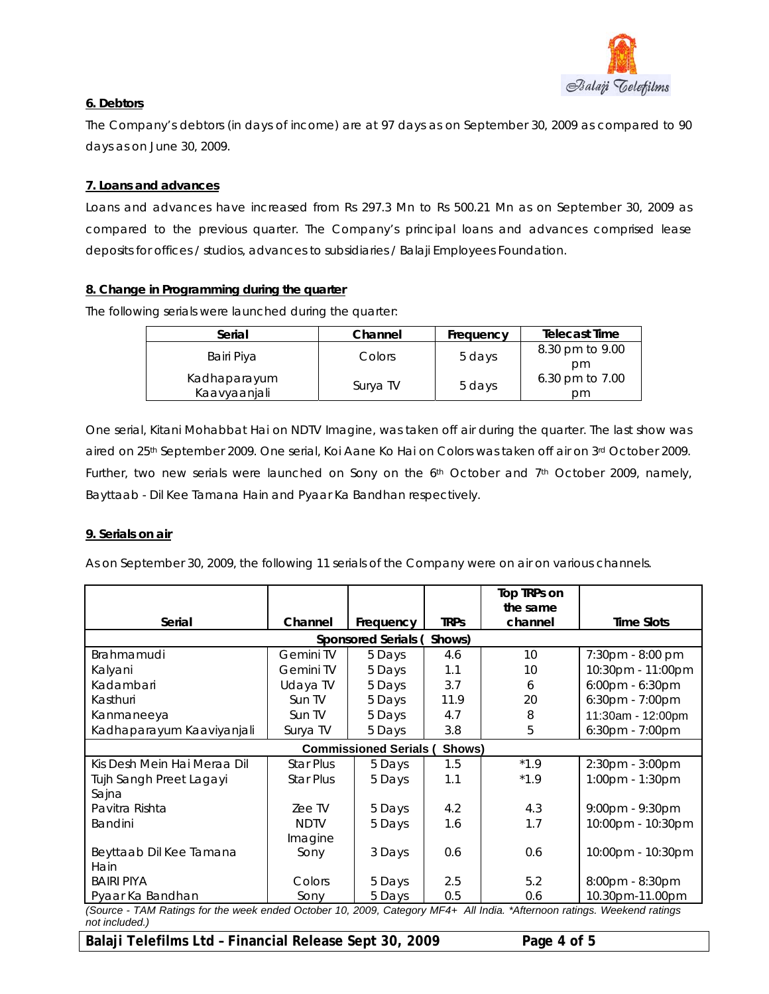

### **6. Debtors**

The Company's debtors (in days of income) are at 97 days as on September 30, 2009 as compared to 90 days as on June 30, 2009.

### **7. Loans and advances**

Loans and advances have increased from Rs 297.3 Mn to Rs 500.21 Mn as on September 30, 2009 as compared to the previous quarter. The Company's principal loans and advances comprised lease deposits for offices / studios, advances to subsidiaries / Balaji Employees Foundation.

#### **8. Change in Programming during the quarter**

The following serials were launched during the quarter:

| Serial                       | Channel  | Frequency | <b>Telecast Time</b>  |
|------------------------------|----------|-----------|-----------------------|
| Bairi Piya                   | Colors   | 5 days    | 8.30 pm to 9.00<br>pm |
| Kadhaparayum<br>Kaavyaanjali | Surya TV | 5 days    | 6.30 pm to 7.00<br>рm |

One serial, Kitani Mohabbat Hai on NDTV Imagine, was taken off air during the quarter. The last show was aired on 25<sup>th</sup> September 2009. One serial, Koi Aane Ko Hai on Colors was taken off air on 3<sup>rd</sup> October 2009. Further, two new serials were launched on Sony on the  $6<sup>th</sup>$  October and 7<sup>th</sup> October 2009, namely, Bayttaab - Dil Kee Tamana Hain and Pyaar Ka Bandhan respectively.

#### **9. Serials on air**

As on September 30, 2009, the following 11 serials of the Company were on air on various channels.

|                                                                                                                         |                  |                               |             | Top TRPs on<br>the same |                    |  |  |
|-------------------------------------------------------------------------------------------------------------------------|------------------|-------------------------------|-------------|-------------------------|--------------------|--|--|
| Serial                                                                                                                  | Channel          | Frequency                     | <b>TRPs</b> | channel                 | <b>Time Slots</b>  |  |  |
| <b>Sponsored Serials (</b><br>Shows)                                                                                    |                  |                               |             |                         |                    |  |  |
| Brahmamudi                                                                                                              | Gemini TV        | 5 Days                        | 4.6         | 10 <sup>°</sup>         | 7:30pm - 8:00 pm   |  |  |
| Kalyani                                                                                                                 | <b>Gemini TV</b> | 5 Days                        | 1.1         | 10                      | 10:30pm - 11:00pm  |  |  |
| Kadambari                                                                                                               | Udaya TV         | 5 Days                        | 3.7         | 6                       | 6:00pm - 6:30pm    |  |  |
| Kasthuri                                                                                                                | Sun TV           | 5 Days                        | 11.9        | 20                      | 6:30pm - 7:00pm    |  |  |
| Kanmaneeya                                                                                                              | Sun TV           | 5 Days                        | 4.7         | 8                       | 11:30am - 12:00pm  |  |  |
| Kadhaparayum Kaaviyanjali                                                                                               | Surya TV         | 5 Days                        | 3.8         | 5                       | $6:30$ pm - 7:00pm |  |  |
|                                                                                                                         |                  | <b>Commissioned Serials (</b> | Shows)      |                         |                    |  |  |
| Kis Desh Mein Hai Meraa Dil                                                                                             | <b>Star Plus</b> | 5 Days                        | 1.5         | $*1.9$                  | 2:30pm - 3:00pm    |  |  |
| Tujh Sangh Preet Lagayi                                                                                                 | <b>Star Plus</b> | 5 Days                        | 1.1         | $*1.9$                  | 1:00pm - 1:30pm    |  |  |
| Sajna                                                                                                                   |                  |                               |             |                         |                    |  |  |
| Pavitra Rishta                                                                                                          | Zee TV           | 5 Days                        | 4.2         | 4.3                     | 9:00pm - 9:30pm    |  |  |
| Bandini                                                                                                                 | <b>NDTV</b>      | 5 Days                        | 1.6         | 1.7                     | 10:00pm - 10:30pm  |  |  |
|                                                                                                                         | Imagine          |                               |             |                         |                    |  |  |
| Beyttaab Dil Kee Tamana                                                                                                 | Sony             | 3 Days                        | 0.6         | 0.6                     | 10:00pm - 10:30pm  |  |  |
| Hain                                                                                                                    |                  |                               |             |                         |                    |  |  |
| <b>BAIRI PIYA</b>                                                                                                       | Colors           | 5 Days                        | 2.5         | 5.2                     | 8:00pm - 8:30pm    |  |  |
| Pyaar Ka Bandhan                                                                                                        | Sony             | 5 Days                        | 0.5         | 0.6                     | 10.30pm-11.00pm    |  |  |
| (Source - TAM Ratings for the week ended October 10, 2009, Category MF4+ All India, *Afternoon ratings, Weekend ratings |                  |                               |             |                         |                    |  |  |

*(Source - TAM Ratings for the week ended October 10, 2009, Category MF4+ All India. \*Afternoon ratings. Weekend ratings not included.)*

Balaji Telefilms Ltd - Financial Release Sept 30, 2009 Page 4 of 5